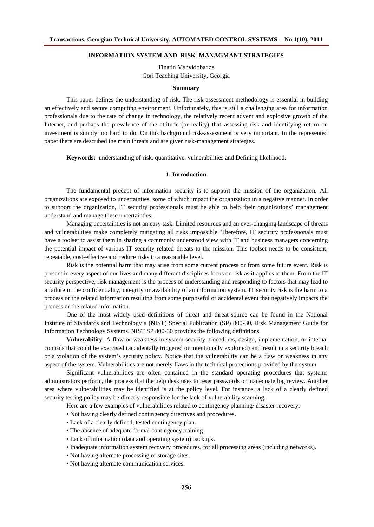## **INFORMATION SYSTEM AND RISK MANAGMANT STRATEGIES**

Tinatin Mshvidobadze Gori Teaching University, Georgia

#### **Summary**

This paper defines the understanding of risk. The risk-assessment methodology is essential in building an effectively and secure computing environment. Unfortunately, this is still a challenging area for information professionals due to the rate of change in technology, the relatively recent advent and explosive growth of the Internet, and perhaps the prevalence of the attitude (or reality) that assessing risk and identifying return on investment is simply too hard to do. On this background risk-assessment is very important. In the represented paper there are described the main threats and are given risk-management strategies.

**Keywords:** understanding of risk. quantitative. vulnerabilities and Defining likelihood.

## **1. Introduction**

The fundamental precept of information security is to support the mission of the organization. All organizations are exposed to uncertainties, some of which impact the organization in a negative manner. In order to support the organization, IT security professionals must be able to help their organizations' management understand and manage these uncertainties.

Managing uncertainties is not an easy task. Limited resources and an ever-changing landscape of threats and vulnerabilities make completely mitigating all risks impossible. Therefore, IT security professionals must have a toolset to assist them in sharing a commonly understood view with IT and business managers concerning the potential impact of various IT security related threats to the mission. This toolset needs to be consistent, repeatable, cost-effective and reduce risks to a reasonable level.

Risk is the potential harm that may arise from some current process or from some future event. Risk is present in every aspect of our lives and many different disciplines focus on risk as it applies to them. From the IT security perspective, risk management is the process of understanding and responding to factors that may lead to a failure in the confidentiality, integrity or availability of an information system. IT security risk is the harm to a process or the related information resulting from some purposeful or accidental event that negatively impacts the process or the related information.

One of the most widely used definitions of threat and threat-source can be found in the National Institute of Standards and Technology's (NIST) Special Publication (SP) 800-30, Risk Management Guide for Information Technology Systems. NIST SP 800-30 provides the following definitions.

**Vulnerability**: A flaw or weakness in system security procedures, design, implementation, or internal controls that could be exercised (accidentally triggered or intentionally exploited) and result in a security breach or a violation of the system's security policy. Notice that the vulnerability can be a flaw or weakness in any aspect of the system. Vulnerabilities are not merely flaws in the technical protections provided by the system.

Significant vulnerabilities are often contained in the standard operating procedures that systems administrators perform, the process that the help desk uses to reset passwords or inadequate log review. Another area where vulnerabilities may be identified is at the policy level. For instance, a lack of a clearly defined security testing policy may be directly responsible for the lack of vulnerability scanning.

Here are a few examples of vulnerabilities related to contingency planning/ disaster recovery:

- Not having clearly defined contingency directives and procedures.
- Lack of a clearly defined, tested contingency plan.
- The absence of adequate formal contingency training.
- Lack of information (data and operating system) backups.
- Inadequate information system recovery procedures, for all processing areas (including networks).
- Not having alternate processing or storage sites.
- Not having alternate communication services.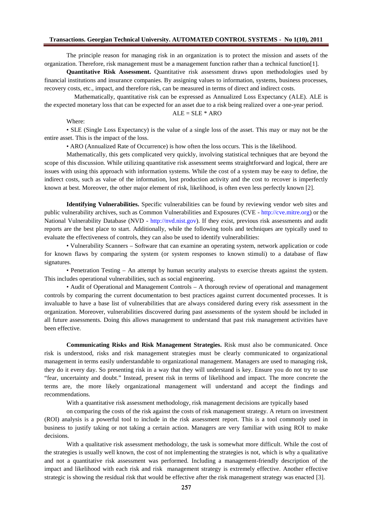The principle reason for managing risk in an organization is to protect the mission and fatters of organization. Therefore, risk management must be a management function rather editional function[1].

Quantitative Risk Assessment Quantitative risk assessment draws upon methodologies used by financial institutions and hsurance companies. Bassigning values to information, systems, business processes, recoverycosts, etc., impact, and therefore risk, can be measured in terms of direct and indirect costs.

Mathematically, quantitative risk can be expressed as Annualized Loss Expectanay AAE is the expected monetary loss that can be expected for an asset due to a risk being realized over a period.

$$
ALE = SLE * ARO
$$

Where:

• SLE (Single Loss Expectancy) is the value of a single loss of the asset. The smay not be the entire asset. This is the impact of the loss.

• ARO (Annualized Rate of Occurrence) is how often the loss occurs. This lited the od.

Mathematically, this gets complicated very quickly, involving statistical techniques that are beyond the scope of this disassion. While utilizing quantitative risk assessment seems straightforward and logical, there are issueswith using this approach with information systems. While the cost of a system may be defined other indirect costs, such as value of the informatilost production activity and the cost recover is imperfectly known at best. Moreover, the other major element of risk, likelihood tein even less perfectly know

Identifying Vulnerabilities. Specific vulnerabilities can be found by reviewivendor web sites and public vulnerability archives, such as Common Vulnerabilities and Exposures (CWE//cve.mitre.orbor the National Vulnerability Database (NVDhttp://nvd.nist.go). If they exist, previous risk assessments and audit reportsare the best place to starteditionally, while the following tools and techniques are typically used to evaluate theeffectiveness of controls, they can also be used to identify vulnerabilities:

• Vulnerability Scanners Software that can examine an *cationg* system, networkapplication or code for known flaws by comparing the system (or system responsets to stimuli) to a database of flaw signatures.

• Penetration Testing An attempt by human security analysts to exercise threats adverted the V This includes operational vulnerabilities, such as social engineering .

• Audit of Operational and Management Control & thorough review of operational amdanagement controls by comparing the current documentation to best practices against current at approcesset. is invaluable to have a base list of vulnerabilities that are always considered during everse is strent in the organization. Moreover, vulnerabilities discovered during past assessments post the should be included in all future assessments. Doing this allows management to that past risk management activities have been effective.

Communicating Risks and Risk Management Strategies Risk must also be communicated. Once risk is understood, risks and risk management text is must be clearly communicated to organizational management in terms easily understandabbe ganizational management. Managers are used to managing risk, they do it every day. Spresenting risk in a way that they will understand is key. Ensured panot try to use ffear, uncertainty and doubt... Instead, present risk in terms of likelihood and impact. The comparete the terms are, the more likely organizational management will understand and abeepthidings and recommendations.

With a quaritative risk assessment methodology, risk management decisions are typically based

on comparing the costs of the risk against the costs of risk management strategy. A retwestment (ROI) analysis is a powerful tool to include in the risk assessment. This is atool commonly used in business to justify taking or not taking a certain action. Managers care familiar with using ROI to make decisions.

With a qualitative risk assessment methodology, the task is somewhat more difficult. Whou betthe the strategies is usually well known, the cost of not implementing the strategies which is why a qualitative and not a quantitative risk assessment was performed. Including nagementriendly description of the impact and likelihood witheach risk and riskmanagement strategy is extremely effective. Another effective strategic is showing the residual k that would be effective after the risk management strategy was efolicted